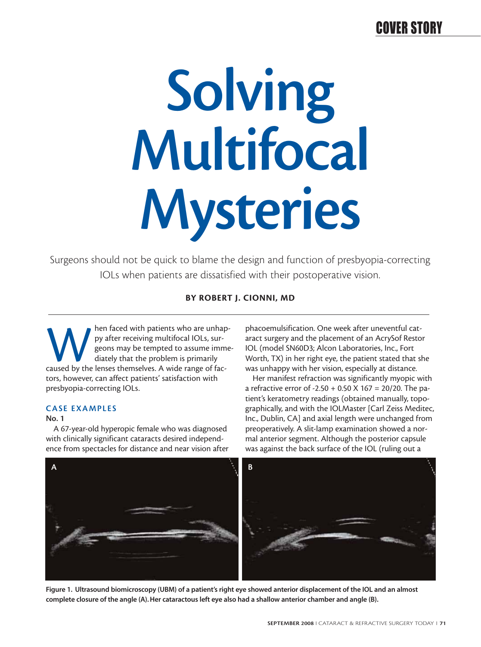## COVER STORY

# **Solving Multifocal Mysteries**

Surgeons should not be quick to blame the design and function of presbyopia-correcting IOLs when patients are dissatisfied with their postoperative vision.

**BY ROBERT J. CIONNI, MD**

May after receiving multifocal IOLs, sur-<br>geons may be tempted to assume imme<br>diately that the problem is primarily<br>caused by the lenses themselves. A wide range of facpy after receiving multifocal IOLs, surgeons may be tempted to assume immediately that the problem is primarily tors, however, can affect patients' satisfaction with presbyopia-correcting IOLs.

## **CASE EXAMPLES**

## **No. 1**

A 67-year-old hyperopic female who was diagnosed with clinically significant cataracts desired independence from spectacles for distance and near vision after phacoemulsification. One week after uneventful cataract surgery and the placement of an AcrySof Restor IOL (model SN60D3; Alcon Laboratories, Inc., Fort Worth, TX) in her right eye, the patient stated that she was unhappy with her vision, especially at distance.

Her manifest refraction was significantly myopic with a refractive error of -2.50 + 0.50 X 167 = 20/20. The patient's keratometry readings (obtained manually, topographically, and with the IOLMaster [Carl Zeiss Meditec, Inc., Dublin, CA] and axial length were unchanged from preoperatively. A slit-lamp examination showed a normal anterior segment. Although the posterior capsule was against the back surface of the IOL (ruling out a



**Figure 1. Ultrasound biomicroscopy (UBM) of a patient's right eye showed anterior displacement of the IOL and an almost complete closure of the angle (A). Her cataractous left eye also had a shallow anterior chamber and angle (B).**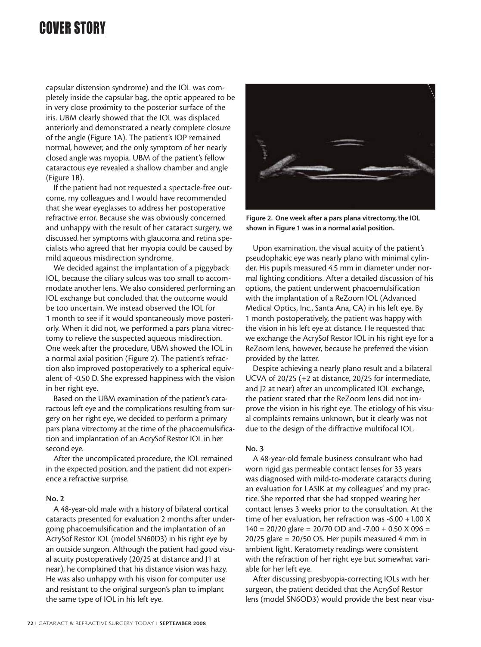## COVER STORY

capsular distension syndrome) and the IOL was completely inside the capsular bag, the optic appeared to be in very close proximity to the posterior surface of the iris. UBM clearly showed that the IOL was displaced anteriorly and demonstrated a nearly complete closure of the angle (Figure 1A). The patient's IOP remained normal, however, and the only symptom of her nearly closed angle was myopia. UBM of the patient's fellow cataractous eye revealed a shallow chamber and angle (Figure 1B).

If the patient had not requested a spectacle-free outcome, my colleagues and I would have recommended that she wear eyeglasses to address her postoperative refractive error. Because she was obviously concerned and unhappy with the result of her cataract surgery, we discussed her symptoms with glaucoma and retina specialists who agreed that her myopia could be caused by mild aqueous misdirection syndrome.

We decided against the implantation of a piggyback IOL, because the ciliary sulcus was too small to accommodate another lens. We also considered performing an IOL exchange but concluded that the outcome would be too uncertain. We instead observed the IOL for 1 month to see if it would spontaneously move posteriorly. When it did not, we performed a pars plana vitrectomy to relieve the suspected aqueous misdirection. One week after the procedure, UBM showed the IOL in a normal axial position (Figure 2). The patient's refraction also improved postoperatively to a spherical equivalent of -0.50 D. She expressed happiness with the vision in her right eye.

Based on the UBM examination of the patient's cataractous left eye and the complications resulting from surgery on her right eye, we decided to perform a primary pars plana vitrectomy at the time of the phacoemulsification and implantation of an AcrySof Restor IOL in her second eye.

After the uncomplicated procedure, the IOL remained in the expected position, and the patient did not experience a refractive surprise.

#### **No. 2**

A 48-year-old male with a history of bilateral cortical cataracts presented for evaluation 2 months after undergoing phacoemulsification and the implantation of an AcrySof Restor IOL (model SN60D3) in his right eye by an outside surgeon. Although the patient had good visual acuity postoperatively (20/25 at distance and J1 at near), he complained that his distance vision was hazy. He was also unhappy with his vision for computer use and resistant to the original surgeon's plan to implant the same type of IOL in his left eye.



**Figure 2. One week after a pars plana vitrectomy, the IOL shown in Figure 1 was in a normal axial position.**

Upon examination, the visual acuity of the patient's pseudophakic eye was nearly plano with minimal cylinder. His pupils measured 4.5 mm in diameter under normal lighting conditions. After a detailed discussion of his options, the patient underwent phacoemulsification with the implantation of a ReZoom IOL (Advanced Medical Optics, Inc., Santa Ana, CA) in his left eye. By 1 month postoperatively, the patient was happy with the vision in his left eye at distance. He requested that we exchange the AcrySof Restor IOL in his right eye for a ReZoom lens, however, because he preferred the vision provided by the latter.

Despite achieving a nearly plano result and a bilateral UCVA of 20/25 (+2 at distance, 20/25 for intermediate, and J2 at near) after an uncomplicated IOL exchange, the patient stated that the ReZoom lens did not improve the vision in his right eye. The etiology of his visual complaints remains unknown, but it clearly was not due to the design of the diffractive multifocal IOL.

#### **No. 3**

A 48-year-old female business consultant who had worn rigid gas permeable contact lenses for 33 years was diagnosed with mild-to-moderate cataracts during an evaluation for LASIK at my colleagues' and my practice. She reported that she had stopped wearing her contact lenses 3 weeks prior to the consultation. At the time of her evaluation, her refraction was -6.00 +1.00 X  $140 = 20/20$  glare = 20/70 OD and -7.00 + 0.50 X 096 =  $20/25$  glare =  $20/50$  OS. Her pupils measured 4 mm in ambient light. Keratomety readings were consistent with the refraction of her right eye but somewhat variable for her left eye.

After discussing presbyopia-correcting IOLs with her surgeon, the patient decided that the AcrySof Restor lens (model SN6OD3) would provide the best near visu-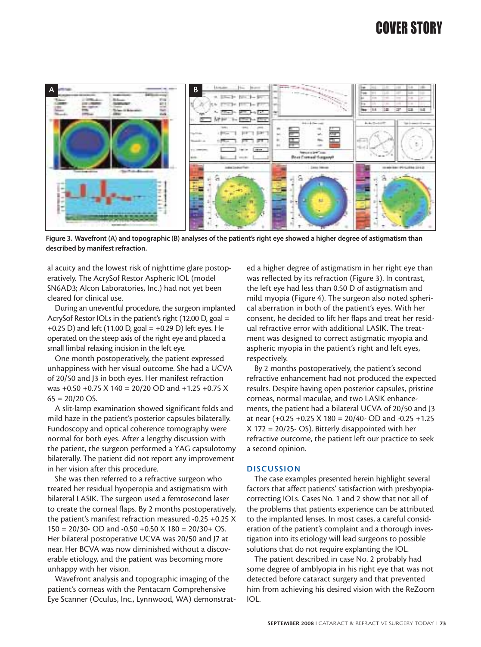

**Figure 3. Wavefront (A) and topographic (B) analyses of the patient's right eye showed a higher degree of astigmatism than described by manifest refraction.**

al acuity and the lowest risk of nighttime glare postoperatively. The AcrySof Restor Aspheric IOL (model SN6AD3; Alcon Laboratories, Inc.) had not yet been cleared for clinical use.

During an uneventful procedure, the surgeon implanted AcrySof Restor IOLs in the patient's right (12.00 D, goal = +0.25 D) and left (11.00 D, goal =  $+0.29$  D) left eyes. He operated on the steep axis of the right eye and placed a small limbal relaxing incision in the left eye.

One month postoperatively, the patient expressed unhappiness with her visual outcome. She had a UCVA of 20/50 and J3 in both eyes. Her manifest refraction was +0.50 +0.75 X 140 = 20/20 OD and +1.25 +0.75 X  $65 = 20/20 \text{ OS}.$ 

A slit-lamp examination showed significant folds and mild haze in the patient's posterior capsules bilaterally. Fundoscopy and optical coherence tomography were normal for both eyes. After a lengthy discussion with the patient, the surgeon performed a YAG capsulotomy bilaterally. The patient did not report any improvement in her vision after this procedure.

She was then referred to a refractive surgeon who treated her residual hyoperopia and astigmatism with bilateral LASIK. The surgeon used a femtosecond laser to create the corneal flaps. By 2 months postoperatively, the patient's manifest refraction measured -0.25 +0.25 X  $150 = 20/30$ - OD and -0.50 +0.50 X 180 = 20/30+ OS. Her bilateral postoperative UCVA was 20/50 and J7 at near. Her BCVA was now diminished without a discoverable etiology, and the patient was becoming more unhappy with her vision.

Wavefront analysis and topographic imaging of the patient's corneas with the Pentacam Comprehensive Eye Scanner (Oculus, Inc., Lynnwood, WA) demonstrat-

ed a higher degree of astigmatism in her right eye than was reflected by its refraction (Figure 3). In contrast, the left eye had less than 0.50 D of astigmatism and mild myopia (Figure 4). The surgeon also noted spherical aberration in both of the patient's eyes. With her consent, he decided to lift her flaps and treat her residual refractive error with additional LASIK. The treatment was designed to correct astigmatic myopia and aspheric myopia in the patient's right and left eyes, respectively.

By 2 months postoperatively, the patient's second refractive enhancement had not produced the expected results. Despite having open posterior capsules, pristine corneas, normal maculae, and two LASIK enhancements, the patient had a bilateral UCVA of 20/50 and J3 at near (+0.25 +0.25 X 180 = 20/40- OD and -0.25 +1.25 X 172 = 20/25- OS). Bitterly disappointed with her refractive outcome, the patient left our practice to seek a second opinion.

#### **DISCUSSION**

The case examples presented herein highlight several factors that affect patients' satisfaction with presbyopiacorrecting IOLs. Cases No. 1 and 2 show that not all of the problems that patients experience can be attributed to the implanted lenses. In most cases, a careful consideration of the patient's complaint and a thorough investigation into its etiology will lead surgeons to possible solutions that do not require explanting the IOL.

The patient described in case No. 2 probably had some degree of amblyopia in his right eye that was not detected before cataract surgery and that prevented him from achieving his desired vision with the ReZoom IOL.